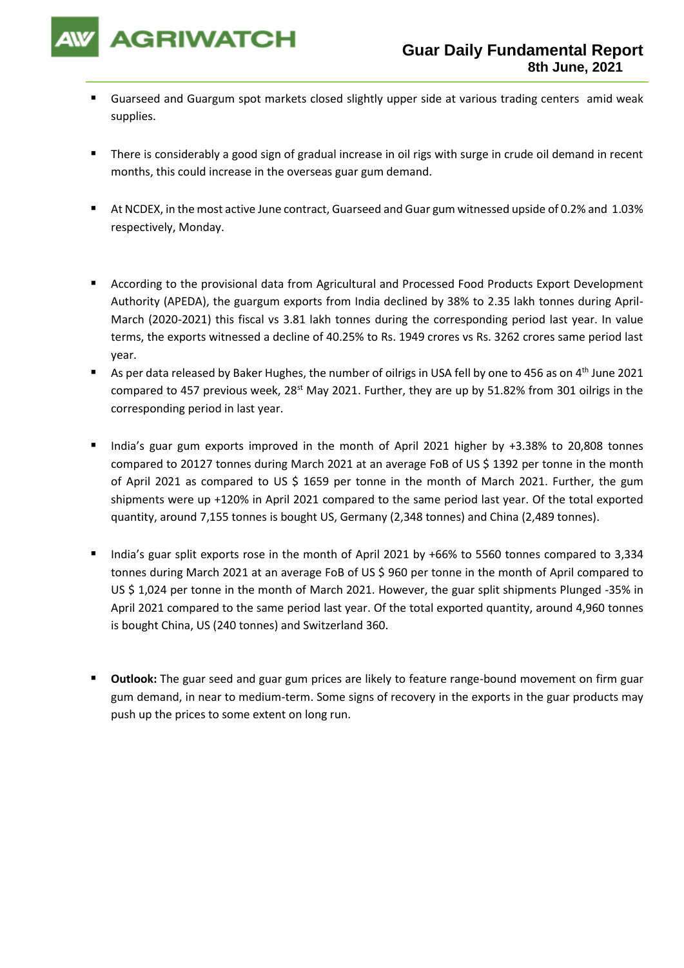

- Guarseed and Guargum spot markets closed slightly upper side at various trading centers amid weak supplies.
- There is considerably a good sign of gradual increase in oil rigs with surge in crude oil demand in recent months, this could increase in the overseas guar gum demand.
- At NCDEX, in the most active June contract, Guarseed and Guar gum witnessed upside of 0.2% and 1.03% respectively, Monday.
- According to the provisional data from Agricultural and Processed Food Products Export Development Authority (APEDA), the guargum exports from India declined by 38% to 2.35 lakh tonnes during April-March (2020-2021) this fiscal vs 3.81 lakh tonnes during the corresponding period last year. In value terms, the exports witnessed a decline of 40.25% to Rs. 1949 crores vs Rs. 3262 crores same period last year.
- As per data released by Baker Hughes, the number of oilrigs in USA fell by one to 456 as on 4<sup>th</sup> June 2021 compared to 457 previous week, 28<sup>st</sup> May 2021. Further, they are up by 51.82% from 301 oilrigs in the corresponding period in last year.
- India's guar gum exports improved in the month of April 2021 higher by +3.38% to 20,808 tonnes compared to 20127 tonnes during March 2021 at an average FoB of US \$ 1392 per tonne in the month of April 2021 as compared to US \$ 1659 per tonne in the month of March 2021. Further, the gum shipments were up +120% in April 2021 compared to the same period last year. Of the total exported quantity, around 7,155 tonnes is bought US, Germany (2,348 tonnes) and China (2,489 tonnes).
- India's guar split exports rose in the month of April 2021 by +66% to 5560 tonnes compared to 3,334 tonnes during March 2021 at an average FoB of US \$ 960 per tonne in the month of April compared to US \$ 1,024 per tonne in the month of March 2021. However, the guar split shipments Plunged -35% in April 2021 compared to the same period last year. Of the total exported quantity, around 4,960 tonnes is bought China, US (240 tonnes) and Switzerland 360.
- **Outlook:** The guar seed and guar gum prices are likely to feature range-bound movement on firm guar gum demand, in near to medium-term. Some signs of recovery in the exports in the guar products may push up the prices to some extent on long run.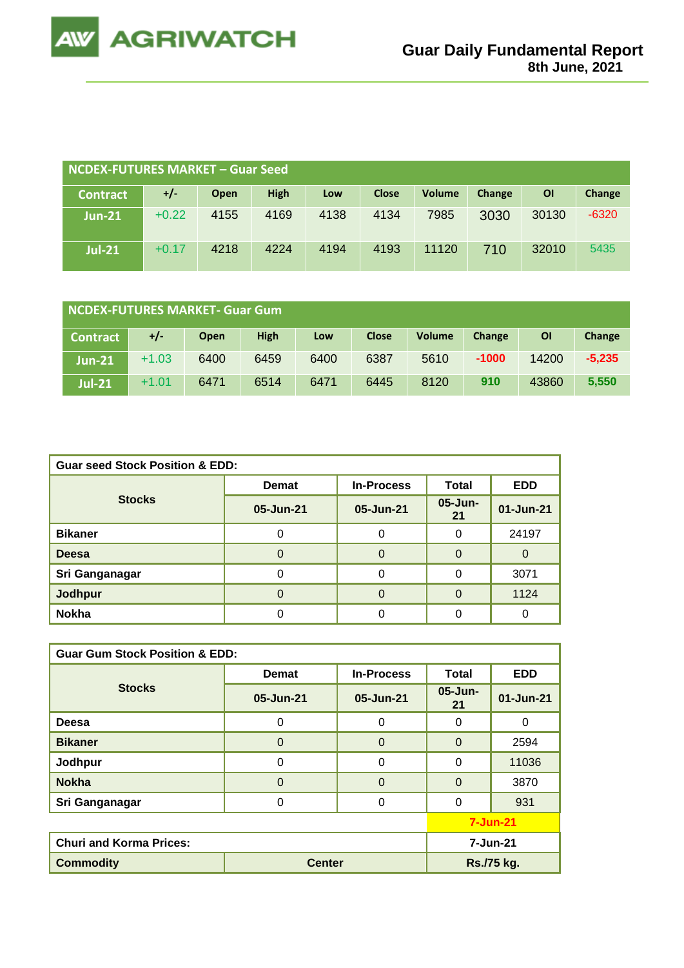

| NCDEX-FUTURES MARKET – Guar Seed |         |      |             |      |              |               |        |           |         |
|----------------------------------|---------|------|-------------|------|--------------|---------------|--------|-----------|---------|
| <b>Contract</b>                  | $+/-$   | Open | <b>High</b> | Low  | <b>Close</b> | <b>Volume</b> | Change | <b>OI</b> | Change  |
| <b>Jun-21</b>                    | $+0.22$ | 4155 | 4169        | 4138 | 4134         | 7985          | 3030   | 30130     | $-6320$ |
| <b>Jul-21</b>                    | $+0.17$ | 4218 | 4224        | 4194 | 4193         | 11120         | 710    | 32010     | 5435    |

| NCDEX-FUTURES MARKET- Guar Gum |         |             |             |      |              |               |         |           |          |
|--------------------------------|---------|-------------|-------------|------|--------------|---------------|---------|-----------|----------|
| <b>Contract</b>                | +/-     | <b>Open</b> | <b>High</b> | Low  | <b>Close</b> | <b>Volume</b> | Change  | <b>OI</b> | Change   |
| <b>Jun-21</b>                  | $+1.03$ | 6400        | 6459        | 6400 | 6387         | 5610          | $-1000$ | 14200     | $-5.235$ |
| <b>Jul-21</b>                  | $+1.01$ | 6471        | 6514        | 6471 | 6445         | 8120          | 910     | 43860     | 5,550    |

| <b>Guar seed Stock Position &amp; EDD:</b> |              |                   |               |            |  |  |  |  |
|--------------------------------------------|--------------|-------------------|---------------|------------|--|--|--|--|
|                                            | <b>Demat</b> | <b>In-Process</b> | <b>Total</b>  | <b>EDD</b> |  |  |  |  |
| <b>Stocks</b>                              | 05-Jun-21    | 05-Jun-21         | 05-Jun-<br>21 | 01-Jun-21  |  |  |  |  |
| <b>Bikaner</b>                             |              |                   |               | 24197      |  |  |  |  |
| <b>Deesa</b>                               | $\Omega$     | 0                 | 0             |            |  |  |  |  |
| Sri Ganganagar                             |              | 0                 | ∩             | 3071       |  |  |  |  |
| <b>Jodhpur</b>                             |              | O                 | O             | 1124       |  |  |  |  |
| <b>Nokha</b>                               |              | 0                 |               |            |  |  |  |  |

| <b>Guar Gum Stock Position &amp; EDD:</b>  |               |                   |               |            |  |  |  |
|--------------------------------------------|---------------|-------------------|---------------|------------|--|--|--|
|                                            | <b>Demat</b>  | <b>In-Process</b> | <b>Total</b>  | <b>EDD</b> |  |  |  |
| <b>Stocks</b>                              | 05-Jun-21     | 05-Jun-21         | 05-Jun-<br>21 | 01-Jun-21  |  |  |  |
| Deesa                                      | $\Omega$      | 0                 | 0             | 0          |  |  |  |
| <b>Bikaner</b>                             | $\Omega$      | $\Omega$          | O             | 2594       |  |  |  |
| Jodhpur                                    | $\Omega$      | 0                 | ∩             | 11036      |  |  |  |
| <b>Nokha</b>                               | $\Omega$      | $\Omega$          | $\Omega$      | 3870       |  |  |  |
| Sri Ganganagar                             | $\Omega$      | 0                 | ∩             | 931        |  |  |  |
| <b>7-Jun-21</b>                            |               |                   |               |            |  |  |  |
| <b>Churi and Korma Prices:</b><br>7-Jun-21 |               |                   |               |            |  |  |  |
| <b>Commodity</b>                           | <b>Center</b> |                   | Rs./75 kg.    |            |  |  |  |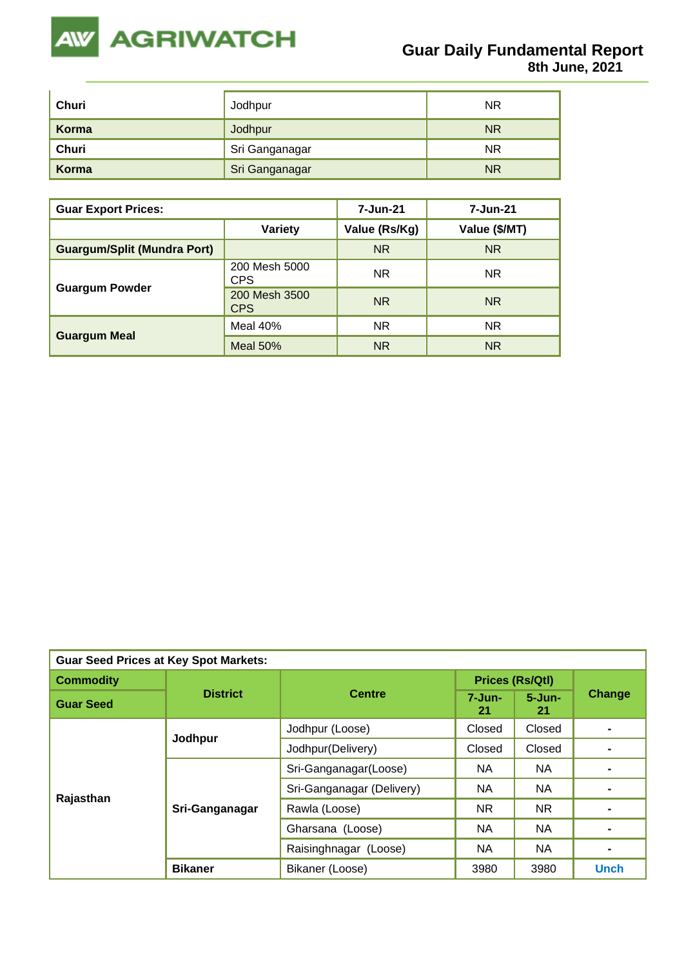

| Churi | Jodhpur          | ΝR        |
|-------|------------------|-----------|
| Korma | Jodhpur          | <b>NR</b> |
| Churi | , Sri Ganganagar | <b>NR</b> |
| Korma | Sri Ganganagar   | <b>NR</b> |

| <b>Guar Export Prices:</b>         |                             | 7-Jun-21      | 7-Jun-21      |
|------------------------------------|-----------------------------|---------------|---------------|
|                                    | Variety                     | Value (Rs/Kg) | Value (\$/MT) |
| <b>Guargum/Split (Mundra Port)</b> |                             | <b>NR</b>     | <b>NR</b>     |
|                                    | 200 Mesh 5000<br><b>CPS</b> | <b>NR</b>     | <b>NR</b>     |
| <b>Guargum Powder</b>              | 200 Mesh 3500<br><b>CPS</b> | <b>NR</b>     | <b>NR</b>     |
|                                    | Meal $40%$                  | <b>NR</b>     | <b>NR</b>     |
| <b>Guargum Meal</b>                | Meal $50\%$                 | <b>NR</b>     | <b>NR</b>     |

| <b>Guar Seed Prices at Key Spot Markets:</b> |                 |                           |                        |                   |               |  |  |
|----------------------------------------------|-----------------|---------------------------|------------------------|-------------------|---------------|--|--|
| <b>Commodity</b>                             |                 |                           | <b>Prices (Rs/Qtl)</b> |                   |               |  |  |
| <b>Guar Seed</b>                             | <b>District</b> | <b>Centre</b>             | $7 - Jun -$<br>21      | $5 - Jun -$<br>21 | <b>Change</b> |  |  |
|                                              |                 | Jodhpur (Loose)           | Closed                 | Closed            |               |  |  |
|                                              | Jodhpur         | Jodhpur(Delivery)         | Closed                 | Closed            |               |  |  |
|                                              | Sri-Ganganagar  | Sri-Ganganagar(Loose)     | NA                     | <b>NA</b>         |               |  |  |
|                                              |                 | Sri-Ganganagar (Delivery) | <b>NA</b>              | NA.               |               |  |  |
| Rajasthan                                    |                 | Rawla (Loose)             | NR.                    | <b>NR</b>         |               |  |  |
|                                              |                 | Gharsana (Loose)          | <b>NA</b>              | <b>NA</b>         |               |  |  |
|                                              |                 | Raisinghnagar (Loose)     | <b>NA</b>              | NA.               |               |  |  |
|                                              | <b>Bikaner</b>  | Bikaner (Loose)           | 3980                   | 3980              | <b>Unch</b>   |  |  |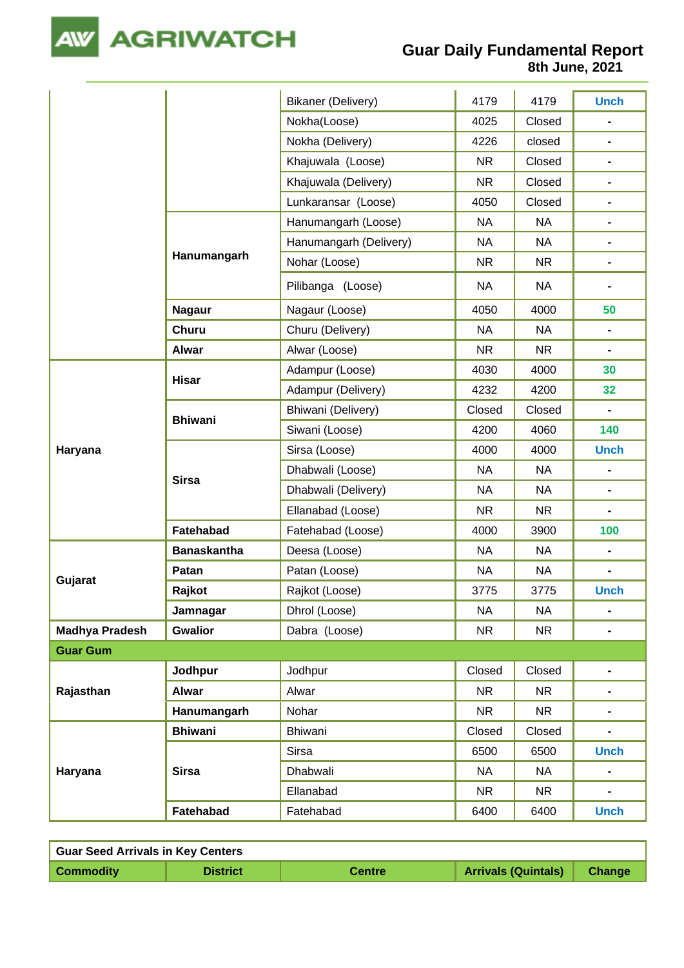

AW

**8th June, 2021**

|                       |                    | <b>Bikaner (Delivery)</b> | 4179      | 4179      | <b>Unch</b>    |
|-----------------------|--------------------|---------------------------|-----------|-----------|----------------|
|                       |                    | Nokha(Loose)              | 4025      | Closed    |                |
|                       |                    | Nokha (Delivery)          | 4226      | closed    | $\blacksquare$ |
|                       |                    | Khajuwala (Loose)         | <b>NR</b> | Closed    | $\blacksquare$ |
|                       |                    | Khajuwala (Delivery)      | <b>NR</b> | Closed    |                |
|                       |                    | Lunkaransar (Loose)       | 4050      | Closed    | $\blacksquare$ |
|                       |                    | Hanumangarh (Loose)       | <b>NA</b> | <b>NA</b> | $\blacksquare$ |
|                       |                    | Hanumangarh (Delivery)    | <b>NA</b> | <b>NA</b> |                |
|                       | Hanumangarh        | Nohar (Loose)             | <b>NR</b> | <b>NR</b> | $\blacksquare$ |
|                       |                    | Pilibanga (Loose)         | <b>NA</b> | <b>NA</b> |                |
|                       | <b>Nagaur</b>      | Nagaur (Loose)            | 4050      | 4000      | 50             |
|                       | <b>Churu</b>       | Churu (Delivery)          | <b>NA</b> | <b>NA</b> | $\blacksquare$ |
|                       | <b>Alwar</b>       | Alwar (Loose)             | <b>NR</b> | <b>NR</b> | $\blacksquare$ |
|                       | <b>Hisar</b>       | Adampur (Loose)           | 4030      | 4000      | 30             |
|                       |                    | Adampur (Delivery)        | 4232      | 4200      | 32             |
|                       | <b>Bhiwani</b>     | Bhiwani (Delivery)        | Closed    | Closed    | $\blacksquare$ |
| Haryana               |                    | Siwani (Loose)            | 4200      | 4060      | 140            |
|                       | <b>Sirsa</b>       | Sirsa (Loose)             | 4000      | 4000      | <b>Unch</b>    |
|                       |                    | Dhabwali (Loose)          | <b>NA</b> | <b>NA</b> |                |
|                       |                    | Dhabwali (Delivery)       | <b>NA</b> | <b>NA</b> |                |
|                       |                    | Ellanabad (Loose)         | <b>NR</b> | <b>NR</b> |                |
|                       | Fatehabad          | Fatehabad (Loose)         | 4000      | 3900      | 100            |
|                       | <b>Banaskantha</b> | Deesa (Loose)             | <b>NA</b> | <b>NA</b> | $\blacksquare$ |
| Gujarat               | Patan              | Patan (Loose)             | <b>NA</b> | <b>NA</b> | $\blacksquare$ |
|                       | Rajkot             | Rajkot (Loose)            | 3775      | 3775      | <b>Unch</b>    |
|                       | Jamnagar           | Dhrol (Loose)             | <b>NA</b> | <b>NA</b> | $\blacksquare$ |
| <b>Madhya Pradesh</b> | <b>Gwalior</b>     | Dabra (Loose)             | <b>NR</b> | <b>NR</b> |                |
| <b>Guar Gum</b>       |                    |                           |           |           |                |
|                       | Jodhpur            | Jodhpur                   | Closed    | Closed    | $\blacksquare$ |
| Rajasthan             | <b>Alwar</b>       | Alwar                     | <b>NR</b> | <b>NR</b> |                |
|                       | Hanumangarh        | Nohar                     | <b>NR</b> | <b>NR</b> |                |
|                       | <b>Bhiwani</b>     | Bhiwani                   | Closed    | Closed    | -              |
|                       |                    | Sirsa                     | 6500      | 6500      | <b>Unch</b>    |
| Haryana               | <b>Sirsa</b>       | Dhabwali                  | <b>NA</b> | <b>NA</b> |                |
|                       |                    | Ellanabad                 | <b>NR</b> | <b>NR</b> | $\blacksquare$ |
|                       | Fatehabad          | Fatehabad                 | 6400      | 6400      | <b>Unch</b>    |

| <b>Guar Seed Arrivals in Key Centers</b> |                 |               |                                   |  |  |  |
|------------------------------------------|-----------------|---------------|-----------------------------------|--|--|--|
| <b>Commodity</b>                         | <b>District</b> | <b>Centre</b> | <b>Arrivals (Quintals)</b> Change |  |  |  |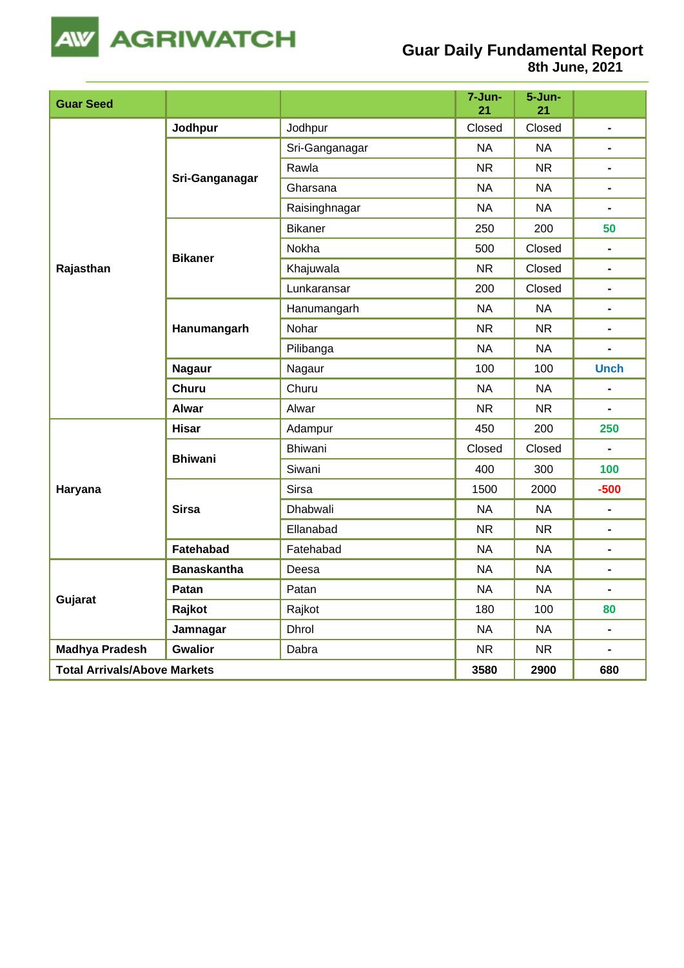

**Guar Daily Fundamental Report**

**8th June, 2021**

| <b>Guar Seed</b>                    |                    |                 | 7-Jun-<br>21 | $5 - Jun -$<br>21 |                              |
|-------------------------------------|--------------------|-----------------|--------------|-------------------|------------------------------|
|                                     | Jodhpur            | Jodhpur         | Closed       | Closed            | $\blacksquare$               |
|                                     |                    | Sri-Ganganagar  | <b>NA</b>    | <b>NA</b>         |                              |
|                                     |                    | Rawla           | <b>NR</b>    | <b>NR</b>         | $\qquad \qquad \blacksquare$ |
|                                     | Sri-Ganganagar     | Gharsana        | <b>NA</b>    | <b>NA</b>         | $\blacksquare$               |
|                                     |                    | Raisinghnagar   | <b>NA</b>    | <b>NA</b>         | $\blacksquare$               |
|                                     |                    | <b>Bikaner</b>  | 250          | 200               | 50                           |
|                                     | <b>Bikaner</b>     | Nokha           | 500          | Closed            | $\overline{a}$               |
| Rajasthan                           |                    | Khajuwala       | <b>NR</b>    | Closed            |                              |
|                                     |                    | Lunkaransar     | 200          | Closed            | $\blacksquare$               |
|                                     |                    | Hanumangarh     | <b>NA</b>    | <b>NA</b>         | -                            |
|                                     | Hanumangarh        | Nohar           | <b>NR</b>    | <b>NR</b>         | $\blacksquare$               |
|                                     |                    | Pilibanga       | <b>NA</b>    | <b>NA</b>         |                              |
|                                     | <b>Nagaur</b>      | Nagaur          | 100          | 100               | <b>Unch</b>                  |
|                                     | <b>Churu</b>       | Churu           | <b>NA</b>    | <b>NA</b>         | $\blacksquare$               |
|                                     | <b>Alwar</b>       | Alwar           | <b>NR</b>    | <b>NR</b>         | $\blacksquare$               |
|                                     | <b>Hisar</b>       | Adampur         | 450          | 200               | 250                          |
|                                     | <b>Bhiwani</b>     | Bhiwani         | Closed       | Closed            | $\overline{a}$               |
|                                     |                    | Siwani          | 400          | 300               | 100                          |
| Haryana                             |                    | <b>Sirsa</b>    | 1500         | 2000              | $-500$                       |
|                                     | <b>Sirsa</b>       | <b>Dhabwali</b> | <b>NA</b>    | <b>NA</b>         | $\blacksquare$               |
|                                     |                    | Ellanabad       | <b>NR</b>    | <b>NR</b>         |                              |
|                                     | Fatehabad          | Fatehabad       | <b>NA</b>    | <b>NA</b>         | $\qquad \qquad \blacksquare$ |
|                                     | <b>Banaskantha</b> | Deesa           | <b>NA</b>    | <b>NA</b>         | $\blacksquare$               |
|                                     | Patan              | Patan           | <b>NA</b>    | <b>NA</b>         | $\blacksquare$               |
| Gujarat                             | Rajkot             | Rajkot          | 180          | 100               | 80                           |
|                                     | Jamnagar           | Dhrol           | <b>NA</b>    | <b>NA</b>         | $\blacksquare$               |
| <b>Madhya Pradesh</b>               | <b>Gwalior</b>     | Dabra           | <b>NR</b>    | <b>NR</b>         |                              |
| <b>Total Arrivals/Above Markets</b> |                    |                 | 3580         | 2900              | 680                          |